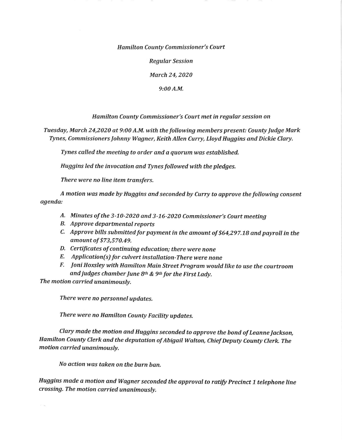Hamilton County Commissioner's Court

Regular Session

March 24, 2020

9:00 A.M.

Hamilton County Commissioner's Court met in regular session on

Tuesday, March 24,2020 at 9:00 A.M. with the following members present: County Judge Mark Tynes, Commissioners lohnny Wagner, Keith Allen Curry, Lloyd Huggins and Dickie Clary,

Tynes called the meeting to order and a quorum was established.

Huggins led the invocation and Tynes followed with the pledges.

There were no line item transfers.

A motion was made by Huggins and seconded by Curry to approve the following consent agenda:

- A. Minutes of the 3-10-2020 and 3-16-2020 Commissioner's Court meeting
- B, Approve departmental reports
- C. Approve bills submitted for payment in the amount of \$64,297.78 and payroll in the amount of \$73,570.49.
- D, Certificates of continuing education; there were none
- E, Application(s) for culvert installation-There were none
- F, Joni Hoxsley with Hamilton Main Street program would like to use the courtroom and judges chamber June  $8<sup>th</sup>$  &  $9<sup>th</sup>$  for the First Lady.

The motion carried unanimously.

 $\mathcal{Z}_{\mathcal{A}}$  ,  $\mathcal{Z}_{\mathcal{A}}$ 

There were no personnel updates.

There were no Hamilton County Facility updates.

Clary made the motion and Huggins seconded to approve the bond of Leanne Jackson, Hamilton County Clerk and the deputation of Abigail Walton, Chief Deputy County Clerk. The motion carried unanimously.

No action was taken on the burn ban,

Huggins made a motion and Wagner seconded the approval to ratify Precinct 1 telephone line crossing. The motion carried unanimously.